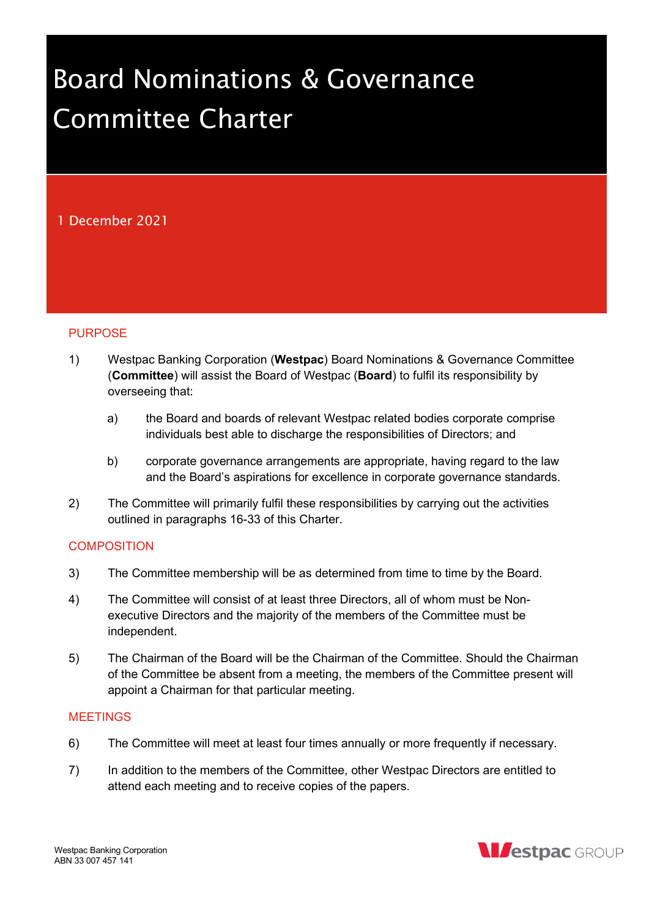# Board Nominations & Governance Committee Charter

# 1 December 2021

# **PURPOSE**

- 1) Westpac Banking Corporation (Westpac) Board Nominations & Governance Committee (Committee) will assist the Board of Westpac (Board) to fulfil its responsibility by overseeing that:
	- a) the Board and boards of relevant Westpac related bodies corporate comprise individuals best able to discharge the responsibilities of Directors; and
	- b) corporate governance arrangements are appropriate, having regard to the law and the Board's aspirations for excellence in corporate governance standards.
- 2) The Committee will primarily fulfil these responsibilities by carrying out the activities outlined in paragraphs 16-33 of this Charter.

# **COMPOSITION**

- 3) The Committee membership will be as determined from time to time by the Board.
- 4) The Committee will consist of at least three Directors, all of whom must be Nonexecutive Directors and the majority of the members of the Committee must be independent.
- 5) The Chairman of the Board will be the Chairman of the Committee. Should the Chairman of the Committee be absent from a meeting, the members of the Committee present will appoint a Chairman for that particular meeting.

# **MEETINGS**

- 6) The Committee will meet at least four times annually or more frequently if necessary.
- 7) In addition to the members of the Committee, other Westpac Directors are entitled to attend each meeting and to receive copies of the papers.

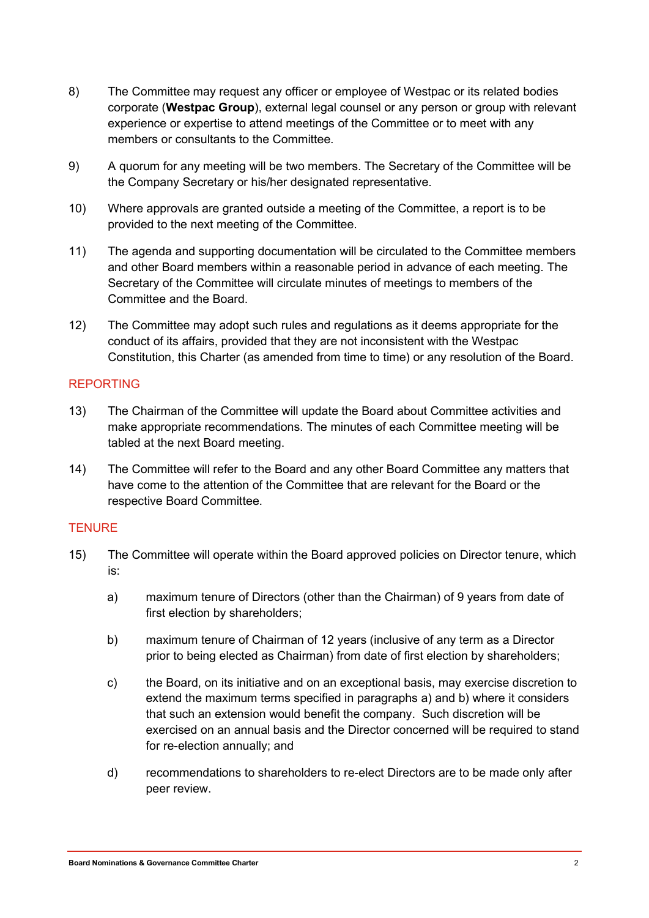- 8) The Committee may request any officer or employee of Westpac or its related bodies corporate (Westpac Group), external legal counsel or any person or group with relevant experience or expertise to attend meetings of the Committee or to meet with any members or consultants to the Committee.
- 9) A quorum for any meeting will be two members. The Secretary of the Committee will be the Company Secretary or his/her designated representative.
- 10) Where approvals are granted outside a meeting of the Committee, a report is to be provided to the next meeting of the Committee.
- 11) The agenda and supporting documentation will be circulated to the Committee members and other Board members within a reasonable period in advance of each meeting. The Secretary of the Committee will circulate minutes of meetings to members of the Committee and the Board.
- 12) The Committee may adopt such rules and regulations as it deems appropriate for the conduct of its affairs, provided that they are not inconsistent with the Westpac Constitution, this Charter (as amended from time to time) or any resolution of the Board.

# REPORTING

- 13) The Chairman of the Committee will update the Board about Committee activities and make appropriate recommendations. The minutes of each Committee meeting will be tabled at the next Board meeting.
- 14) The Committee will refer to the Board and any other Board Committee any matters that have come to the attention of the Committee that are relevant for the Board or the respective Board Committee.

# **TENURE**

- 15) The Committee will operate within the Board approved policies on Director tenure, which is:
	- a) maximum tenure of Directors (other than the Chairman) of 9 years from date of first election by shareholders;
	- b) maximum tenure of Chairman of 12 years (inclusive of any term as a Director prior to being elected as Chairman) from date of first election by shareholders;
	- c) the Board, on its initiative and on an exceptional basis, may exercise discretion to extend the maximum terms specified in paragraphs a) and b) where it considers that such an extension would benefit the company. Such discretion will be exercised on an annual basis and the Director concerned will be required to stand for re-election annually; and
	- d) recommendations to shareholders to re-elect Directors are to be made only after peer review.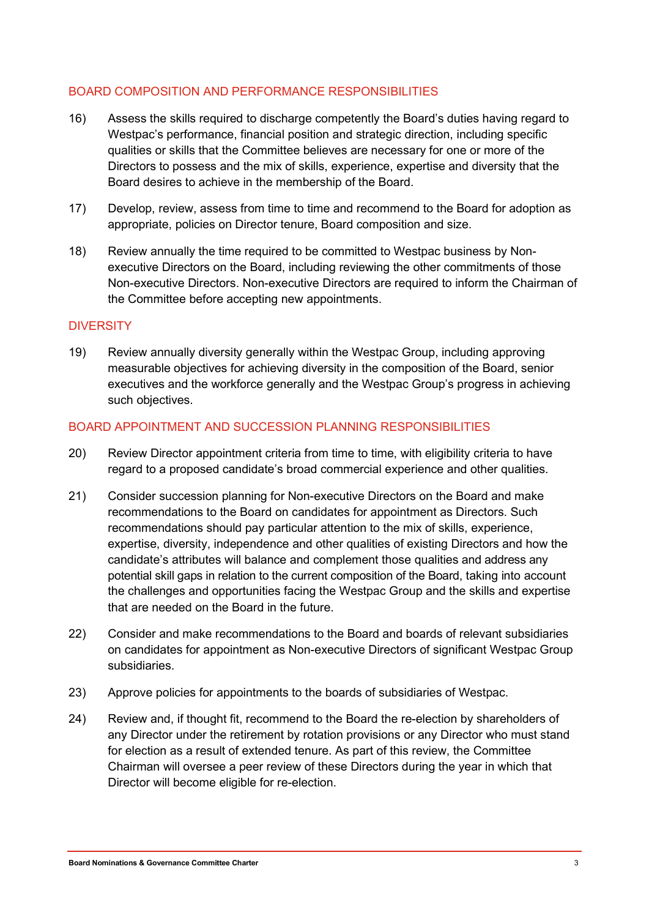# BOARD COMPOSITION AND PERFORMANCE RESPONSIBILITIES

- 16) Assess the skills required to discharge competently the Board's duties having regard to Westpac's performance, financial position and strategic direction, including specific qualities or skills that the Committee believes are necessary for one or more of the Directors to possess and the mix of skills, experience, expertise and diversity that the Board desires to achieve in the membership of the Board.
- 17) Develop, review, assess from time to time and recommend to the Board for adoption as appropriate, policies on Director tenure, Board composition and size.
- 18) Review annually the time required to be committed to Westpac business by Nonexecutive Directors on the Board, including reviewing the other commitments of those Non-executive Directors. Non-executive Directors are required to inform the Chairman of the Committee before accepting new appointments.

# **DIVERSITY**

19) Review annually diversity generally within the Westpac Group, including approving measurable objectives for achieving diversity in the composition of the Board, senior executives and the workforce generally and the Westpac Group's progress in achieving such objectives.

# BOARD APPOINTMENT AND SUCCESSION PLANNING RESPONSIBILITIES

- 20) Review Director appointment criteria from time to time, with eligibility criteria to have regard to a proposed candidate's broad commercial experience and other qualities.
- 21) Consider succession planning for Non-executive Directors on the Board and make recommendations to the Board on candidates for appointment as Directors. Such recommendations should pay particular attention to the mix of skills, experience, expertise, diversity, independence and other qualities of existing Directors and how the candidate's attributes will balance and complement those qualities and address any potential skill gaps in relation to the current composition of the Board, taking into account the challenges and opportunities facing the Westpac Group and the skills and expertise that are needed on the Board in the future.
- 22) Consider and make recommendations to the Board and boards of relevant subsidiaries on candidates for appointment as Non-executive Directors of significant Westpac Group subsidiaries.
- 23) Approve policies for appointments to the boards of subsidiaries of Westpac.
- 24) Review and, if thought fit, recommend to the Board the re-election by shareholders of any Director under the retirement by rotation provisions or any Director who must stand for election as a result of extended tenure. As part of this review, the Committee Chairman will oversee a peer review of these Directors during the year in which that Director will become eligible for re-election.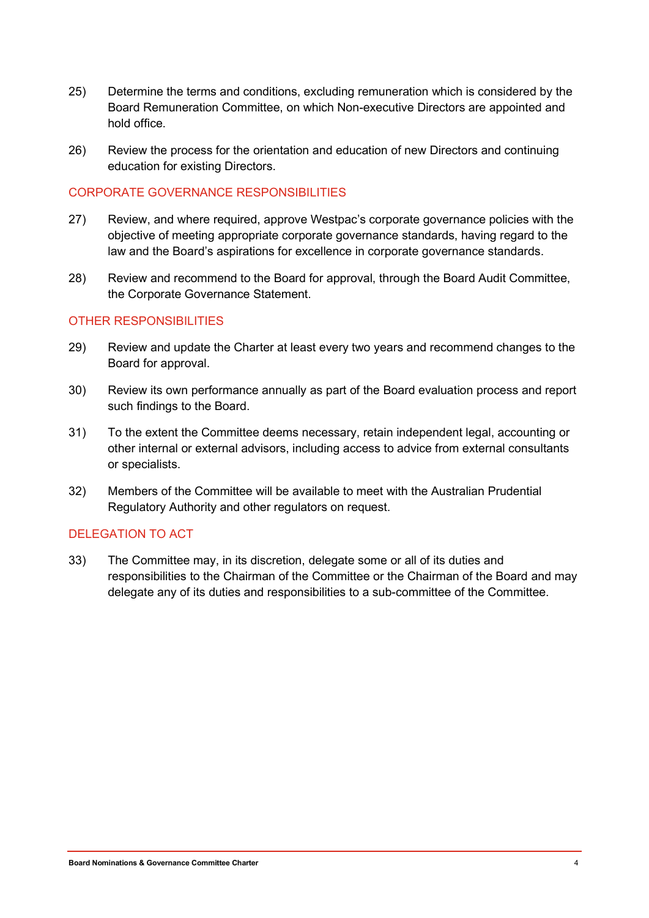- 25) Determine the terms and conditions, excluding remuneration which is considered by the Board Remuneration Committee, on which Non-executive Directors are appointed and hold office.
- 26) Review the process for the orientation and education of new Directors and continuing education for existing Directors.

# CORPORATE GOVERNANCE RESPONSIBILITIES

- 27) Review, and where required, approve Westpac's corporate governance policies with the objective of meeting appropriate corporate governance standards, having regard to the law and the Board's aspirations for excellence in corporate governance standards.
- 28) Review and recommend to the Board for approval, through the Board Audit Committee, the Corporate Governance Statement.

# OTHER RESPONSIBILITIES

- 29) Review and update the Charter at least every two years and recommend changes to the Board for approval.
- 30) Review its own performance annually as part of the Board evaluation process and report such findings to the Board.
- 31) To the extent the Committee deems necessary, retain independent legal, accounting or other internal or external advisors, including access to advice from external consultants or specialists.
- 32) Members of the Committee will be available to meet with the Australian Prudential Regulatory Authority and other regulators on request.

# DELEGATION TO ACT

33) The Committee may, in its discretion, delegate some or all of its duties and responsibilities to the Chairman of the Committee or the Chairman of the Board and may delegate any of its duties and responsibilities to a sub-committee of the Committee.